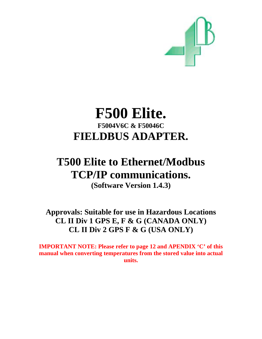

## **F500 Elite. F5004V6C & F50046C FIELDBUS ADAPTER.**

# **T500 Elite to Ethernet/Modbus TCP/IP communications.**

**(Software Version 1.4.3)** 

**Approvals: Suitable for use in Hazardous Locations CL II Div 1 GPS E, F & G (CANADA ONLY) CL II Div 2 GPS F & G (USA ONLY)** 

**IMPORTANT NOTE: Please refer to page 12 and APENDIX 'C' of this manual when converting temperatures from the stored value into actual units.**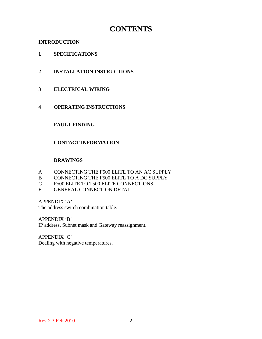## **CONTENTS**

## **INTRODUCTION**

- **1 SPECIFICATIONS**
- **2 INSTALLATION INSTRUCTIONS**
- **3 ELECTRICAL WIRING**
- **4 OPERATING INSTRUCTIONS**

## **FAULT FINDING**

## **CONTACT INFORMATION**

## **DRAWINGS**

- A CONNECTING THE F500 ELITE TO AN AC SUPPLY
- B CONNECTING THE F500 ELITE TO A DC SUPPLY
- C F500 ELITE TO T500 ELITE CONNECTIONS
- E GENERAL CONNECTION DETAIL

APPENDIX 'A'

The address switch combination table.

APPENDIX 'B'

IP address, Subnet mask and Gateway reassignment.

APPENDIX 'C' Dealing with negative temperatures.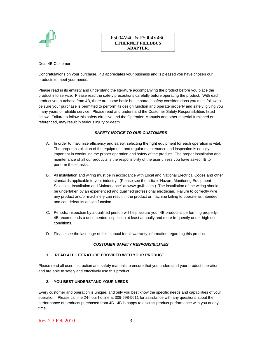

#### F5004V4C & F5004V46C **ETHERNET FIELDBUS ADAPTER.**

Dear 4B Customer:

Congratulations on your purchase. 4B appreciates your business and is pleased you have chosen our products to meet your needs.

Please read in its entirety and understand the literature accompanying the product before you place the product into service. Please read the safety precautions carefully before operating the product. With each product you purchase from 4B, there are some basic but important safety considerations you must follow to be sure your purchase is permitted to perform its design function and operate properly and safely, giving you many years of reliable service. Please read and understand the Customer Safety Responsibilities listed below. Failure to follow this safety directive and the Operation Manuals and other material furnished or referenced, may result in serious injury or death.

#### *SAFETY NOTICE TO OUR CUSTOMERS*

- A. In order to maximize efficiency and safety, selecting the right equipment for each operation is vital. The proper installation of the equipment, and regular maintenance and inspection is equally important in continuing the proper operation and safety of the product. The proper installation and maintenance of all our products is the responsibility of the user unless you have asked 4B to perform these tasks.
- B. All installation and wiring must be in accordance with Local and National Electrical Codes and other standards applicable to your industry. (Please see the article "Hazard Monitoring Equipment Selection, Installation and Maintenance" at www.go4b.com.) The installation of the wiring should be undertaken by an experienced and qualified professional electrician. Failure to correctly wire any product and/or machinery can result in the product or machine failing to operate as intended, and can defeat its design function.
- C. Periodic inspection by a qualified person will help assure your 4B product is performing properly. 4B recommends a documented inspection at least annually and more frequently under high use conditions.
- D. Please see the last page of this manual for all warranty information regarding this product.

#### *CUSTOMER SAFETY RESPONSIBILITIES*

#### **1. READ ALL LITERATURE PROVIDED WITH YOUR PRODUCT**

Please read all user, instruction and safety manuals to ensure that you understand your product operation and are able to safely and effectively use this product.

#### **2. YOU BEST UNDERSTAND YOUR NEEDS**

Every customer and operation is unique, and only you best know the specific needs and capabilities of your operation. Please call the 24-hour hotline at 309-698-5611 for assistance with any questions about the performance of products purchased from 4B. 4B is happy to discuss product performance with you at any time.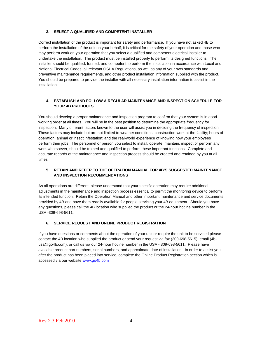#### **3. SELECT A QUALIFIED AND COMPETENT INSTALLER**

Correct installation of the product is important for safety and performance. If you have not asked 4B to perform the installation of the unit on your behalf, it is critical for the safety of your operation and those who may perform work on your operation that you select a qualified and competent electrical installer to undertake the installation. The product must be installed properly to perform its designed functions. The installer should be qualified, trained, and competent to perform the installation in accordance with Local and National Electrical Codes, all relevant OSHA Regulations, as well as any of your own standards and preventive maintenance requirements, and other product installation information supplied with the product. You should be prepared to provide the installer with all necessary installation information to assist in the installation.

#### **4. ESTABLISH AND FOLLOW A REGULAR MAINTENANCE AND INSPECTION SCHEDULE FOR YOUR 4B PRODUCTS**

You should develop a proper maintenance and inspection program to confirm that your system is in good working order at all times. You will be in the best position to determine the appropriate frequency for inspection. Many different factors known to the user will assist you in deciding the frequency of inspection. These factors may include but are not limited to weather conditions; construction work at the facility; hours of operation; animal or insect infestation; and the real-world experience of knowing how your employees perform their jobs. The personnel or person you select to install, operate, maintain, inspect or perform any work whatsoever, should be trained and qualified to perform these important functions. Complete and accurate records of the maintenance and inspection process should be created and retained by you at all times.

#### **5. RETAIN AND REFER TO THE OPERATION MANUAL FOR 4B'S SUGGESTED MAINTENANCE AND INSPECTION RECOMMENDATIONS**

As all operations are different, please understand that your specific operation may require additional adjustments in the maintenance and inspection process essential to permit the monitoring device to perform its intended function. Retain the Operation Manual and other important maintenance and service documents provided by 4B and have them readily available for people servicing your 4B equipment. Should you have any questions, please call the 4B location who supplied the product or the 24-hour hotline number in the USA -309-698-5611.

#### **6. SERVICE REQUEST AND ONLINE PRODUCT REGISTRATION**

If you have questions or comments about the operation of your unit or require the unit to be serviced please contact the 4B location who supplied the product or send your request via fax (309-698-5615), email (4busa@go4b.com), or call us via our 24-hour hotline number in the USA - 309-698-5611. Please have available product part numbers, serial numbers, and approximate date of installation. In order to assist you, after the product has been placed into service, complete the Online Product Registration section which is accessed via our website www.go4b.com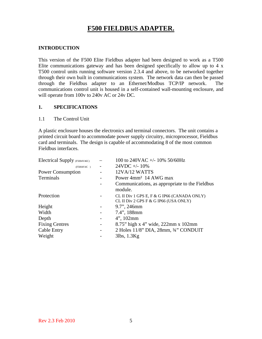## **F500 FIELDBUS ADAPTER.**

## **INTRODUCTION**

This version of the F500 Elite Fieldbus adapter had been designed to work as a T500 Elite communications gateway and has been designed specifically to allow up to 4 x T500 control units running software version 2.3.4 and above, to be networked together through their own built in communications system. The network data can then be passed through the Fieldbus adapter to an Ethernet/Modbus TCP/IP network. The communications control unit is housed in a self-contained wall-mounting enclosure, and will operate from 100v to 240v AC or 24v DC.

#### **1. SPECIFICATIONS**

#### 1.1 The Control Unit

A plastic enclosure houses the electronics and terminal connectors. The unit contains a printed circuit board to accommodate power supply circuitry, microprocessor, Fieldbus card and terminals. The design is capable of accommodating 8 of the most common Fieldbus interfaces.

| Electrical Supply (F5004V46C) |                              | 100 to 240VAC +/- 10% 50/60Hz                                                        |
|-------------------------------|------------------------------|--------------------------------------------------------------------------------------|
| (F5004V4C)                    |                              | $24VDC + -10\%$                                                                      |
| <b>Power Consumption</b>      |                              | $12VA/12$ WATTS                                                                      |
| Terminals                     | -                            | Power 4mm <sup>2</sup> 14 AWG max                                                    |
|                               |                              | Communications, as appropriate to the Fieldbus<br>module.                            |
| Protection                    |                              | CL II Div 1 GPS E, F & G IP66 (CANADA ONLY)<br>CL II Div 2 GPS F & G IP66 (USA ONLY) |
| Height                        |                              | 9.7", 246mm                                                                          |
| Width                         |                              | 7.4", 188mm                                                                          |
| Depth                         | $\qquad \qquad \blacksquare$ | $4$ ", 102mm                                                                         |
| <b>Fixing Centres</b>         | $\overline{\phantom{0}}$     | 8.75" high x 4" wide, $222 \text{mm}$ x $102 \text{mm}$                              |
| Cable Entry                   | -                            | 2 Holes 11/8" DIA, 28mm, 3/4" CONDUIT                                                |
| Weight                        |                              | 3lbs, 1.3Kg                                                                          |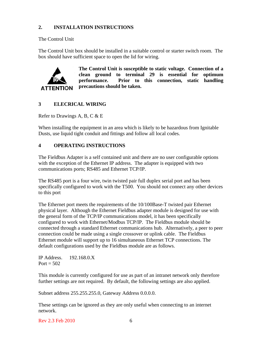## **2. INSTALLATION INSTRUCTIONS**

The Control Unit

The Control Unit box should be installed in a suitable control or starter switch room. The box should have sufficient space to open the lid for wiring.



**The Control Unit is susceptible to static voltage. Connection of a clean ground to terminal 29 is essential for optimum performance. Prior to this connection, static handling precautions should be taken.** 

## **3 ELECRICAL WIRING**

Refer to Drawings A, B, C & E

When installing the equipment in an area which is likely to be hazardous from Ignitable Dusts, use liquid tight conduit and fittings and follow all local codes.

## **4 OPERATING INSTRUCTIONS**

The Fieldbus Adapter is a self contained unit and there are no user configurable options with the exception of the Ethernet IP address. The adapter is equipped with two communications ports; RS485 and Ethernet TCP/IP.

The RS485 port is a four wire, twin twisted pair full duplex serial port and has been specifically configured to work with the T500. You should not connect any other devices to this port

The Ethernet port meets the requirements of the 10/100Base-T twisted pair Ethernet physical layer. Although the Ethernet Fieldbus adapter module is designed for use with the general form of the TCP/IP communications model, it has been specifically configured to work with Ethernet/Modbus TCP/IP. The Fieldbus module should be connected through a standard Ethernet communications hub. Alternatively, a peer to peer connection could be made using a single crossover or uplink cable. The Fieldbus Ethernet module will support up to 16 simultaneous Ethernet TCP connections. The default configurations used by the Fieldbus module are as follows.

IP Address. 192.168.0.X Port  $= 502$ 

This module is currently configured for use as part of an intranet network only therefore further settings are not required. By default, the following settings are also applied.

Subnet address 255.255.255.0, Gateway Address 0.0.0.0.

These settings can be ignored as they are only useful when connecting to an internet network.

Rev 2.3 Feb 2010 6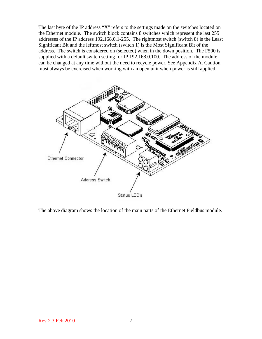The last byte of the IP address "X" refers to the settings made on the switches located on the Ethernet module. The switch block contains 8 switches which represent the last 255 addresses of the IP address 192.168.0.1-255. The rightmost switch (switch 8) is the Least Significant Bit and the leftmost switch (switch 1) is the Most Significant Bit of the address. The switch is considered on (selected) when in the down position. The F500 is supplied with a default switch setting for IP 192.168.0.100. The address of the module can be changed at any time without the need to recycle power. See Appendix A. Caution must always be exercised when working with an open unit when power is still applied.



The above diagram shows the location of the main parts of the Ethernet Fieldbus module.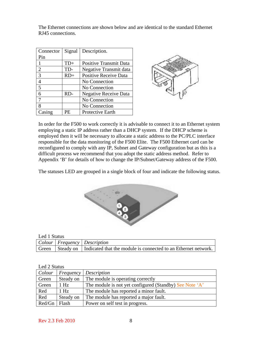The Ethernet connections are shown below and are identical to the standard Ethernet RJ45 connections.

| Connector | Signal | Description.                  |
|-----------|--------|-------------------------------|
| Pin       |        |                               |
| 1         | $TD+$  | <b>Positive Transmit Data</b> |
| 2         | TD-    | Negative Transmit data        |
| 3         | $RD+$  | <b>Positive Receive Data</b>  |
| 4         |        | No Connection                 |
| 5         |        | No Connection                 |
| 6         | RD-    | <b>Negative Receive Data</b>  |
|           |        | No Connection                 |
| 8         |        | No Connection                 |
| Casing    | PE     | Protective Earth              |



In order for the F500 to work correctly it is advisable to connect it to an Ethernet system employing a static IP address rather than a DHCP system. If the DHCP scheme is employed then it will be necessary to allocate a static address to the PC/PLC interface responsible for the data monitoring of the F500 Elite. The F500 Ethernet card can be reconfigured to comply with any IP, Subnet and Gateway configuration but as this is a difficult process we recommend that you adopt the static address method. Refer to Appendix 'B' for details of how to change the IP/Subnet/Gateway address of the F500.

The statuses LED are grouped in a single block of four and indicate the following status.



#### Led 1 Status

|  | Colour   Frequency   Description                                                   |
|--|------------------------------------------------------------------------------------|
|  | Green   Steady on   Indicated that the module is connected to an Ethernet network. |

#### Led 2 Status

| Colour |           | Frequency Description                                   |
|--------|-----------|---------------------------------------------------------|
| Green  | Steady on | The module is operating correctly                       |
| Green  | $1$ Hz    | The module is not yet configured (Standby) See Note 'A' |
| Red    | 1 Hz      | The module has reported a minor fault.                  |
| Red    | Steady on | The module has reported a major fault.                  |
| Red/Gn | Flash     | Power on self test in progress.                         |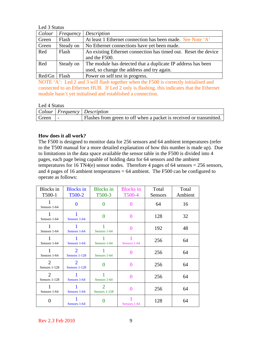Led 3 Status

| Colour         | Frequency | Description                                                     |
|----------------|-----------|-----------------------------------------------------------------|
| Green          | Flash     | At least 1 Ethernet connection has been made. See Note 'A'      |
| Green          | Steady on | No Ethernet connections have yet been made.                     |
| Red            | Flash     | An existing Ethernet connection has timed out. Reset the device |
|                |           | and the F500.                                                   |
| Red            | Steady on | The module has detected that a duplicate IP address has been    |
|                |           | used, so change the address and try again.                      |
| $Red/Gn$ Flash |           | Power on self test in progress.                                 |

NOTE 'A': Led 2 and 3 will flash together when the F500 is correctly initialised and connected to an Ethernet HUB. If Led 2 only is flashing, this indicates that the Ethernet module hasn't yet initialised and established a connection.

#### Led 4 Status

|       | Colour   Frequency   Description                                    |
|-------|---------------------------------------------------------------------|
| Green | Flashes from green to off when a packet is received or transmitted. |

## **How does it all work?**

The F500 is designed to monitor data for 256 sensors and 64 ambient temperatures (refer to the T500 manual for a more detailed explanation of how this number is made up). Due to limitations in the data space available the sensor table in the F500 is divided into 4 pages, each page being capable of holding data for 64 sensors and the ambient temperatures for 16 TN4(e) sensor nodes. Therefore 4 pages of 64 sensors =  $256$  sensors, and 4 pages of 16 ambient temperatures  $= 64$  ambient. The F500 can be configured to operate as follows:

| <b>Blocks</b> in<br>T500-1                   | <b>Blocks</b> in<br>T500-2      | <b>Blocks</b> in<br>T500-3      | <b>Blocks</b> in<br>T500-4 | Total<br><b>Sensors</b> | Total<br>Ambient |
|----------------------------------------------|---------------------------------|---------------------------------|----------------------------|-------------------------|------------------|
| Sensors 1-64                                 | $\Omega$                        | $\mathbf{\Omega}$               | $\mathbf{\Omega}$          | 64                      | 16               |
| Sensors 1-64                                 | Sensors 1-64                    | 0                               | $\Omega$                   | 128                     | 32               |
| Sensors 1-64                                 | Sensors 1-64                    | Sensors 1-64                    | 0                          | 192                     | 48               |
| 1<br>Sensors 1-64                            | Sensors 1-64                    | Sensors 1-64                    | Sensors 1-64               | 256                     | 64               |
| Sensors 1-64                                 | $\overline{2}$<br>Sensors 1-128 | Sensors 1-64                    | $\Omega$                   | 256                     | 64               |
| $\mathcal{D}_{\mathcal{L}}$<br>Sensors 1-128 | $\overline{2}$<br>Sensors 1-128 | $\Omega$                        | 0                          | 256                     | 64               |
| 2<br>Sensors 1-128                           | Sensors 1-64                    | Sensors 1-64                    | 0                          | 256                     | 64               |
| Sensors 1-64                                 | Sensors 1-64                    | $\overline{2}$<br>Sensors 1-128 | 0                          | 256                     | 64               |
| 0                                            | Sensors 1-64                    |                                 | Sensors 1-64               | 128                     | 64               |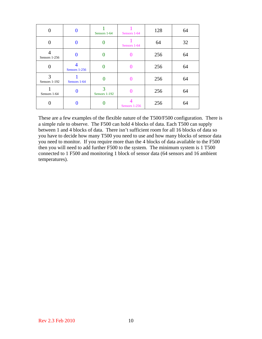| 0                  | 0                          | Sensors 1-64       | Sensors 1-64  | 128 | 64 |
|--------------------|----------------------------|--------------------|---------------|-----|----|
| $\theta$           | 0                          |                    | Sensors 1-64  | 64  | 32 |
| Sensors 1-256      | 0                          |                    |               | 256 | 64 |
| 0                  | $\Lambda$<br>Sensors 1-256 |                    |               | 256 | 64 |
| 3<br>Sensors 1-192 | Sensors 1-64               |                    |               | 256 | 64 |
| Sensors 1-64       | 0                          | 3<br>Sensors 1-192 |               | 256 | 64 |
| 0                  |                            |                    | Sensors 1-256 | 256 | 64 |

These are a few examples of the flexible nature of the T500/F500 configuration. There is a simple rule to observe. The F500 can hold 4 blocks of data. Each T500 can supply between 1 and 4 blocks of data. There isn't sufficient room for all 16 blocks of data so you have to decide how many T500 you need to use and how many blocks of sensor data you need to monitor. If you require more than the 4 blocks of data available to the F500 then you will need to add further F500 to the system. The minimum system is 1 T500 connected to 1 F500 and monitoring 1 block of sensor data (64 sensors and 16 ambient temperatures).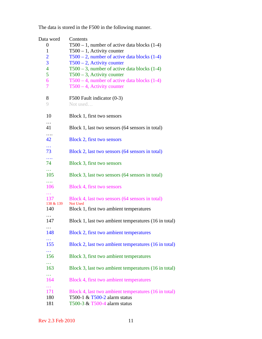| Data word               | Contents                                                                         |
|-------------------------|----------------------------------------------------------------------------------|
| 0                       | $T500 - 1$ , number of active data blocks (1-4)                                  |
| $\mathbf{1}$            | $T500 - 1$ , Activity counter                                                    |
| $\overline{2}$          | $T500 - 2$ , number of active data blocks (1-4)                                  |
| $\overline{\mathbf{3}}$ | $T500 - 2$ , Activity counter                                                    |
| $\overline{4}$<br>5     | $T500 - 3$ , number of active data blocks $(1-4)$                                |
| 6                       | $T500 - 3$ , Activity counter<br>$T500 - 4$ , number of active data blocks (1-4) |
| 7                       | $T500 - 4$ , Activity counter                                                    |
|                         |                                                                                  |
| 8                       | F500 Fault indicator (0-3)                                                       |
| 9                       | Not used                                                                         |
|                         |                                                                                  |
| 10                      | Block 1, first two sensors                                                       |
| $\cdots$                |                                                                                  |
| 41                      | Block 1, last two sensors (64 sensors in total)                                  |
| .                       |                                                                                  |
| 42                      | Block 2, first two sensors                                                       |
| $\ddotsc$<br>73         | Block 2, last two sensors (64 sensors in total)                                  |
| $\cdots$                |                                                                                  |
| 74                      | Block 3, first two sensors                                                       |
| .                       |                                                                                  |
| 105                     | Block 3, last two sensors (64 sensors in total)                                  |
| .                       |                                                                                  |
| 106                     | Block 4, first two sensors                                                       |
|                         |                                                                                  |
| 137                     | Block 4, last two sensors (64 sensors in total)<br><b>Not Used</b>               |
| 138 & 139<br>140        | Block 1, first two ambient temperatures                                          |
| .                       |                                                                                  |
| 147                     | Block 1, last two ambient temperatures (16 in total)                             |
| $\cdots$                |                                                                                  |
| 148                     | Block 2, first two ambient temperatures                                          |
|                         |                                                                                  |
| 155                     | Block 2, last two ambient temperatures (16 in total)                             |
| $\ddotsc$               |                                                                                  |
| 156                     | Block 3, first two ambient temperatures                                          |
| $\ddotsc$               |                                                                                  |
| 163                     | Block 3, last two ambient temperatures (16 in total)                             |
| $\cdots$<br>164         | Block 4, first two ambient temperatures                                          |
| $\sim$ $\sim$ $\sim$    |                                                                                  |
| 171                     | Block 4, last two ambient temperatures (16 in total)                             |
| 180                     | T500-1 & T500-2 alarm status                                                     |
| 181                     | T500-3 & T500-4 alarm status                                                     |

The data is stored in the F500 in the following manner.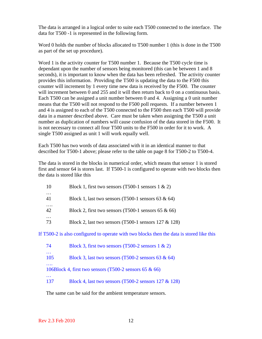The data is arranged in a logical order to suite each T500 connected to the interface. The data for T500 -1 is represented in the following form.

Word 0 holds the number of blocks allocated to T500 number 1 (this is done in the T500 as part of the set up procedure).

Word 1 is the activity counter for T500 number 1. Because the T500 cycle time is dependant upon the number of sensors being monitored (this can be between 1 and 8 seconds), it is important to know when the data has been refreshed. The activity counter provides this information. Providing the T500 is updating the data to the F500 this counter will increment by 1 every time new data is received by the F500. The counter will increment between 0 and 255 and it will then return back to 0 on a continuous basis. Each T500 can be assigned a unit number between 0 and 4. Assigning a 0 unit number means that the T500 will not respond to the F500 poll requests. If a number between 1 and 4 is assigned to each of the T500 connected to the F500 then each T500 will provide data in a manner described above. Care must be taken when assigning the T500 a unit number as duplication of numbers will cause confusion of the data stored in the F500. It is not necessary to connect all four T500 units to the F500 in order for it to work. A single T500 assigned as unit 1 will work equally well.

Each T500 has two words of data associated with it in an identical manner to that described for T500-1 above; please refer to the table on page 8 for T500-2 to T500-4.

The data is stored in the blocks in numerical order, which means that sensor 1 is stored first and sensor 64 is stores last. If T500-1 is configured to operate with two blocks then the data is stored like this

| 10             | Block 1, first two sensors (T500-1 sensors $1 \& 2$ )                                     |
|----------------|-------------------------------------------------------------------------------------------|
| $\cdots$<br>41 | Block 1, last two sensors (T500-1 sensors 63 $\&$ 64)                                     |
| .<br>42        | Block 2, first two sensors (T500-1 sensors 65 $\&$ 66)                                    |
| $\cdots$<br>73 | Block 2, last two sensors (T500-1 sensors $127 \& 128$ )                                  |
|                | If T500-2 is also configured to operate with two blocks then the data is stored like this |
| 74             | Block 3, first two sensors (T500-2 sensors $1 \& 2$ )                                     |
| .<br>105       | Block 3, last two sensors (T500-2 sensors 63 $\&$ 64)                                     |
|                | 106Block 4, first two sensors (T500-2 sensors 65 $\&$ 66)                                 |
|                |                                                                                           |

137 Block 4, last two sensors (T500-2 sensors 127 & 128)

The same can be said for the ambient temperature sensors.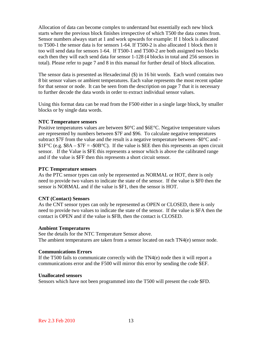Allocation of data can become complex to understand but essentially each new block starts where the previous block finishes irrespective of which T500 the data comes from. Sensor numbers always start at 1 and work upwards for example: If 1 block is allocated to T500-1 the sensor data is for sensors 1-64. If T500-2 is also allocated 1 block then it too will send data for sensors 1-64. If T500-1 and T500-2 are both assigned two blocks each then they will each send data for sensor 1-128 (4 blocks in total and 256 sensors in total). Please refer to page 7 and 8 in this manual for further detail of block allocation.

The sensor data is presented as Hexadecimal (\$) in 16 bit words. Each word contains two 8 bit sensor values or ambient temperatures. Each value represents the most recent update for that sensor or node. It can be seen from the description on page 7 that it is necessary to further decode the data words in order to extract individual sensor values.

Using this format data can be read from the F500 either in a single large block, by smaller blocks or by single data words.

#### **NTC Temperature sensors**

Positive temperatures values are between \$0°C and \$6E°C. Negative temperature values are represented by numbers between \$7F and \$96. To calculate negative temperatures subtract \$7F from the value and the result is a negative temperature between  $-$ \$0 $\degree$ C and  $$1F^{\circ}C$  (e.g.  $$8A - $7F = -$0B^{\circ}C$ ). If the value is SEE then this represents an open circuit sensor. If the Value is \$FE this represents a sensor which is above the calibrated range and if the value is \$FF then this represents a short circuit sensor.

#### **PTC Temperature sensors**

As the PTC sensor types can only be represented as NORMAL or HOT, there is only need to provide two values to indicate the state of the sensor. If the value is \$F0 then the sensor is NORMAL and if the value is \$F1, then the sensor is HOT.

#### **CNT (Contact) Sensors**

As the CNT sensor types can only be represented as OPEN or CLOSED, there is only need to provide two values to indicate the state of the sensor. If the value is \$FA then the contact is OPEN and if the value is \$FB, then the contact is CLOSED.

#### **Ambient Temperatures**

See the details for the NTC Temperature Sensor above. The ambient temperatures are taken from a sensor located on each TN4(e) sensor node.

## **Communications Errors**

If the T500 fails to communicate correctly with the TN4(e) node then it will report a communications error and the F500 will mirror this error by sending the code \$EF.

#### **Unallocated sensors**

Sensors which have not been programmed into the T500 will present the code \$FD.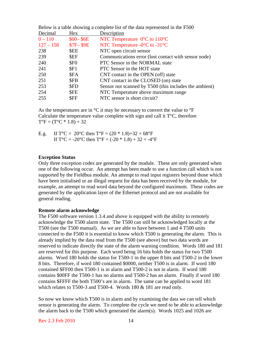| Decimal     | <b>Hex</b>       | Description                                            |
|-------------|------------------|--------------------------------------------------------|
| $0 - 110$   | $$00 - $6E$$     | NTC Temperature $0^{\circ}$ C to 110 $^{\circ}$ C      |
| $127 - 158$ | <b>\$7F-\$9E</b> | NTC Temperature $-0$ °C to $-31$ °C                    |
| 238         | <b>SEE</b>       | NTC open circuit sensor                                |
| 239         | \$EF             | Communications error (lost contact with sensor node)   |
| 240         | \$F <sub>0</sub> | PTC Sensor in the NORMAL state                         |
| 241         | SF1              | PTC Sensor in the HOT state                            |
| 250         | \$FA             | CNT contact in the OPEN (off) state                    |
| 251         | \$FB             | CNT contact in the CLOSED (on) state                   |
| 253         | \$FD             | Sensor not scanned by T500 (this includes the ambient) |
| 254         | \$FE             | NTC Temperature above maximum range                    |
| 255         | \$FF             | NTC sensor is short circuit?                           |
|             |                  |                                                        |

Below is a table showing a complete list of the data represented in the F500

As the temperatures are in  $\mathrm{C}$  it may be necessary to convert the value to  $\mathrm{C}$  F Calculate the temperature value complete with sign and call it  $T^{\circ}C$ , therefore  $T^{\circ}F = (T^{\circ}C * 1.8) + 32$ 

| E.g. | If T°C = 20°C then T°F = $(20 * 1.8) + 32 = 68$ °F                                |
|------|-----------------------------------------------------------------------------------|
|      | If $T^{\circ}C = -20^{\circ}C$ then $T^{\circ}F = (-20 * 1.8) + 32 = -4^{\circ}F$ |

#### **Exception Status**

Only three exception codes are generated by the module. These are only generated when one of the following occur. An attempt has been made to use a function call which is not supported by the Fieldbus module. An attempt to read input registers beyond those which have been initialised or an illegal request for data has been received by the module, for example, an attempt to read word data beyond the configured maximum. These codes are generated by the application layer of the Ethernet protocol and are not available for general reading.

#### **Remote alarm acknowledge**

The F500 software version 1.3.4 and above is equipped with the ability to remotely acknowledge the T500 alarm state. The T500 can still be acknowledged locally at the T500 (see the T500 manual). As we are able to have between 1 and 4 T500 units connected to the F500 it is essential to know which T500 is generating the alarm. This is already implied by the data read from the T500 (see above) but two data words are reserved to indicate directly the state of the alarm warning condition. Words 180 and 181 are reserved for this purpose. Each word being 16 bits holds the status for two T500 alarms. Word 180 holds the status for T500-1 in the upper 8 bits and T500-2 in the lower 8 bits. Therefore, if word 180 contained \$0000, neither T500 is in alarm. If word 180 contained \$FF00 then T500-1 is in alarm and T500-2 is not in alarm. If word 180 contains \$00FF the T500-1 has no alarms and T500-2 has an alarm. Finally if word 180 contains \$FFFF the both T500's are in alarm. The same can be applied to word 181 which relates to T500-3 and T500-4. Words 180 & 181 are read only.

So now we know which T500 is in alarm and by examining the data we can tell which sensor is generating the alarm. To complete the cycle we need to be able to acknowledge the alarm back to the T500 which generated the alarm(s). Words 1025 and 1026 are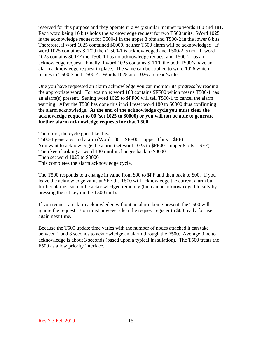reserved for this purpose and they operate in a very similar manner to words 180 and 181. Each word being 16 bits holds the acknowledge request for two T500 units. Word 1025 is the acknowledge request for T500-1 in the upper 8 bits and T500-2 in the lower 8 bits. Therefore, if word 1025 contained \$0000, neither T500 alarm will be acknowledged. If word 1025 containes \$FF00 then T500-1 is acknowledged and T500-2 is not. If word 1025 contains \$00FF the T500-1 has no acknowledge request and T500-2 has an acknowledge request. Finally if word 1025 contains \$FFFF the both T500's have an alarm acknowledge request in place. The same can be applied to word 1026 which relates to T500-3 and T500-4. Words 1025 and 1026 are read/write.

One you have requested an alarm acknowledge you can monitor its progress by reading the appropriate word. For example: word 180 contains \$FF00 which means T500-1 has an alarm(s) present. Setting word 1025 to \$FF00 will tell T500-1 to cancel the alarm warning. After the T500 has done this it will reset word 180 to \$0000 thus confirming the alarm acknowledge. **At the end of the acknowledge cycle you must clear the acknowledge request to 00 (set 1025 to \$0000) or you will not be able to generate further alarm acknowledge requests for that T500.**

Therefore, the cycle goes like this: T500-1 generates and alarm (Word  $180 = $FF00$  – upper 8 bits  $= $FF$ ) You want to acknowledge the alarm (set word  $1025$  to \$FF00 – upper 8 bits = \$FF) Then keep looking at word 180 until it changes back to \$0000 Then set word 1025 to \$0000 This completes the alarm acknowledge cycle.

The T500 responds to a change in value from \$00 to \$FF and then back to \$00. If you leave the acknowledge value at \$FF the T500 will acknowledge the current alarm but further alarms can not be acknowledged remotely (but can be acknowledged locally by pressing the set key on the T500 unit).

If you request an alarm acknowledge without an alarm being present, the T500 will ignore the request. You must however clear the request register to \$00 ready for use again next time.

Because the T500 update time varies with the number of nodes attached it can take between 1 and 8 seconds to acknowledge an alarm through the F500. Average time to acknowledge is about 3 seconds (based upon a typical installation). The T500 treats the F500 as a low priority interface.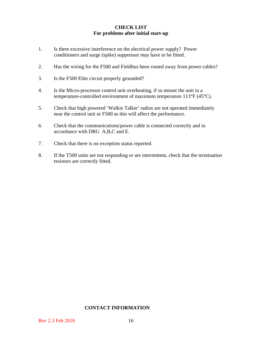## **CHECK LIST For problems after initial start-up**

- 1. Is there excessive interference on the electrical power supply? Power conditioners and surge (spike) suppressor may have to be fitted.
- 2. Has the wiring for the F500 and Fieldbus been routed away from power cables?
- 3. Is the F500 Elite circuit properly grounded?
- 4. Is the Micro-processor control unit overheating, if so mount the unit in a temperature-controlled environment of maximum temperature 113°F (45°C).
- 5. Check that high powered 'Walkie Talkie' radios are not operated immediately near the control unit or F500 as this will affect the performance.
- 6. Check that the communications/power cable is connected correctly and in accordance with DRG A,B,C and E.
- 7. Check that there is no exception status reported.
- 8. If the T500 units are not responding or are intermittent, check that the termination resistors are correctly fitted.

#### **CONTACT INFORMATION**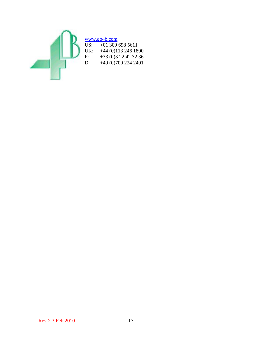

# $\frac{www.go4b.com}{US: +01309}$

US:  $+01\,309\,698\,5611$ <br>UK:  $+44\,(0)113\,246\,18$ UK: +44 (0)113 246 1800<br>F: +33 (0)3 22 42 32 36 F:  $+33 (0)3 22 42 32 36$ <br>D:  $+49 (0)700 224 2491$ +49 (0)700 224 2491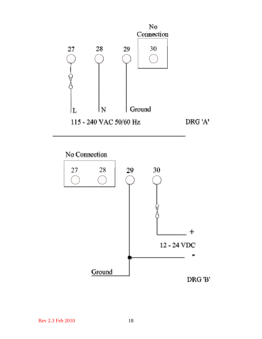

No Connection

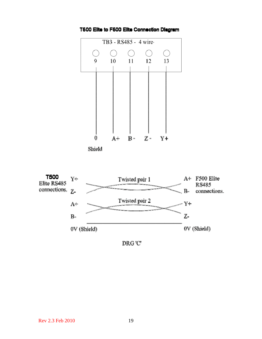

T500 Elite to F500 Elite Connection Diagram



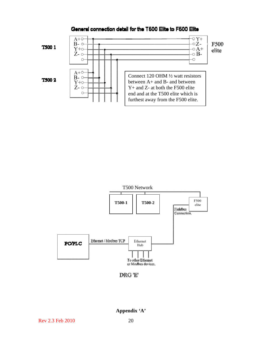

## General connection detail for the T500 Elite to F500 Elite



DRG 'E'

**Appendix 'A'**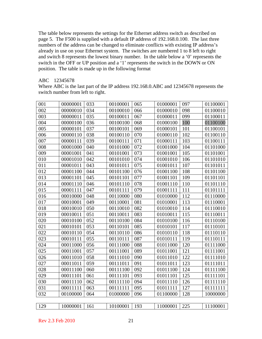The table below represents the settings for the Ethernet address switch as described on page 5. The F500 is supplied with a default IP address of 192.168.0.100. The last three numbers of the address can be changed to eliminate conflicts with existing IP address's already in use on your Ethernet system. The switches are numbered 1 to 8 left to right and switch 8 represents the lowest binary number. In the table below a '0' represents the switch in the OFF or UP position and a '1' represents the switch in the DOWN or ON position. The table is made up in the following format

#### ABC 12345678

Where ABC is the last part of the IP address 192.168.0.ABC and 12345678 represents the switch number from left to right.

| 001 | 00000001 | 033 | 00100001 | 065 | 01000001 | 097 | 01100001 |
|-----|----------|-----|----------|-----|----------|-----|----------|
| 002 | 00000010 | 034 | 00100010 | 066 | 01000010 | 098 | 01100010 |
| 003 | 00000011 | 035 | 00100011 | 067 | 01000011 | 099 | 01100011 |
| 004 | 00000100 | 036 | 00100100 | 068 | 01000100 | 100 | 01100100 |
| 005 | 00000101 | 037 | 00100101 | 069 | 01000101 | 101 | 01100101 |
| 006 | 00000110 | 038 | 00100110 | 070 | 01000110 | 102 | 01100110 |
| 007 | 00000111 | 039 | 00100111 | 071 | 01000111 | 103 | 01100111 |
| 008 | 00001000 | 040 | 00101000 | 072 | 01001000 | 104 | 01101000 |
| 009 | 00001001 | 041 | 00101001 | 073 | 01001001 | 105 | 01101001 |
| 010 | 00001010 | 042 | 00101010 | 074 | 01001010 | 106 | 01101010 |
| 011 | 00001011 | 043 | 00101011 | 075 | 01001011 | 107 | 01101011 |
| 012 | 00001100 | 044 | 00101100 | 076 | 01001100 | 108 | 01101100 |
| 013 | 00001101 | 045 | 00101101 | 077 | 01001101 | 109 | 01101101 |
| 014 | 00001110 | 046 | 00101110 | 078 | 01001110 | 110 | 01101110 |
| 015 | 00001111 | 047 | 00101111 | 079 | 01001111 | 111 | 01101111 |
| 016 | 00010000 | 048 | 00110000 | 080 | 01010000 | 112 | 01110000 |
| 017 | 00010001 | 049 | 00110001 | 081 | 01010001 | 113 | 01110001 |
| 018 | 00010010 | 050 | 00110010 | 082 | 01010010 | 114 | 01110010 |
| 019 | 00010011 | 051 | 00110011 | 083 | 01010011 | 115 | 01110011 |
| 020 | 00010100 | 052 | 00110100 | 084 | 01010100 | 116 | 01110100 |
| 021 | 00010101 | 053 | 00110101 | 085 | 01010101 | 117 | 01110101 |
| 022 | 00010110 | 054 | 00110110 | 086 | 01010110 | 118 | 01110110 |
| 023 | 00010111 | 055 | 00110111 | 087 | 01010111 | 119 | 01110111 |
| 024 | 00011000 | 056 | 00111000 | 088 | 01011000 | 120 | 01111000 |
| 025 | 00011001 | 057 | 00111001 | 089 | 01011001 | 121 | 01111001 |
| 026 | 00011010 | 058 | 00111010 | 090 | 01011010 | 122 | 01111010 |
| 027 | 00011011 | 059 | 00111011 | 091 | 01011011 | 123 | 01111011 |
| 028 | 00011100 | 060 | 00111100 | 092 | 01011100 | 124 | 01111100 |
| 029 | 00011101 | 061 | 00111101 | 093 | 01011101 | 125 | 01111101 |
| 030 | 00011110 | 062 | 00111110 | 094 | 01011110 | 126 | 01111110 |
| 031 | 00011111 | 063 | 00111111 | 095 | 01011111 | 127 | 01111111 |
| 032 | 00100000 | 064 | 01000000 | 096 | 01100000 | 128 | 10000000 |
|     |          |     |          |     |          |     |          |
| 129 | 10000001 | 161 | 10100001 | 193 | 11000001 | 225 | 11100001 |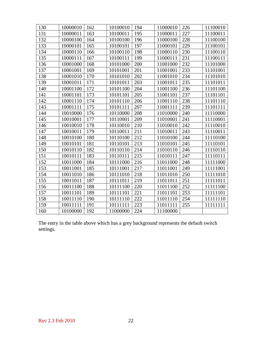| 130 | 10000010 | 162 | 10100010 | 194 | 11000010 | 226 | 11100010 |
|-----|----------|-----|----------|-----|----------|-----|----------|
| 131 | 10000011 | 163 | 10100011 | 195 | 11000011 | 227 | 11100011 |
| 132 | 10000100 | 164 | 10100100 | 196 | 11000100 | 228 | 11100100 |
| 133 | 10000101 | 165 | 10100101 | 197 | 11000101 | 229 | 11100101 |
| 134 | 10000110 | 166 | 10100110 | 198 | 11000110 | 230 | 11100110 |
| 135 | 10000111 | 167 | 10100111 | 199 | 11000111 | 231 | 11100111 |
| 136 | 10001000 | 168 | 10101000 | 200 | 11001000 | 232 | 11101000 |
| 137 | 10001001 | 169 | 10101001 | 201 | 11001001 | 233 | 11101001 |
| 138 | 10001010 | 170 | 10101010 | 202 | 11001010 | 234 | 11101010 |
| 139 | 10001011 | 171 | 10101011 | 203 | 11001011 | 235 | 11101011 |
| 140 | 10001100 | 172 | 10101100 | 204 | 11001100 | 236 | 11101100 |
| 141 | 10001101 | 173 | 10101101 | 205 | 11001101 | 237 | 11101101 |
| 142 | 10001110 | 174 | 10101110 | 206 | 11001110 | 238 | 11101110 |
| 143 | 10001111 | 175 | 10101111 | 207 | 11001111 | 239 | 11101111 |
| 144 | 10010000 | 176 | 10110000 | 208 | 11010000 | 240 | 11110000 |
| 145 | 10010001 | 177 | 10110001 | 209 | 11010001 | 241 | 11110001 |
| 146 | 10010010 | 178 | 10110010 | 210 | 11010010 | 242 | 11110010 |
| 147 | 10010011 | 179 | 10110011 | 211 | 11010011 | 243 | 11110011 |
| 148 | 10010100 | 180 | 10110100 | 212 | 11010100 | 244 | 11110100 |
| 149 | 10010101 | 181 | 10110101 | 213 | 11010101 | 245 | 11110101 |
| 150 | 10010110 | 182 | 10110110 | 214 | 11010110 | 246 | 11110110 |
| 151 | 10010111 | 183 | 10110111 | 215 | 11010111 | 247 | 11110111 |
| 152 | 10011000 | 184 | 10111000 | 216 | 11011000 | 248 | 11111000 |
| 153 | 10011001 | 185 | 10111001 | 217 | 11011001 | 249 | 11111001 |
| 154 | 10011010 | 186 | 10111010 | 218 | 11011010 | 250 | 11111010 |
| 155 | 10011011 | 187 | 10111011 | 219 | 11011011 | 251 | 11111011 |
| 156 | 10011100 | 188 | 10111100 | 220 | 11011100 | 252 | 11111100 |
| 157 | 10011101 | 189 | 10111101 | 221 | 11011101 | 253 | 11111101 |
| 158 | 10011110 | 190 | 10111110 | 222 | 11011110 | 254 | 11111110 |
| 159 | 10011111 | 191 | 10111111 | 223 | 11011111 | 255 | 11111111 |
| 160 | 10100000 | 192 | 11000000 | 224 | 11100000 |     |          |

The entry in the table above which has a grey background represents the default switch settings.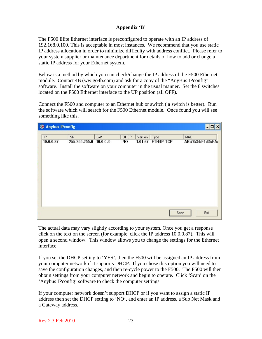## **Appendix 'B'**

The F500 Elite Ethernet interface is preconfigured to operate with an IP address of 192.168.0.100. This is acceptable in most instances. We recommend that you use static IP address allocation in order to minimize difficulty with address conflict. Please refer to your system supplier or maintenance department for details of how to add or change a static IP address for your Ethernet system.

Below is a method by which you can check/change the IP address of the F500 Ethernet module. Contact 4B (ww.go4b.com) and ask for a copy of the "AnyBus IPconfig" software. Install the software on your computer in the usual manner. Set the 8 switches located on the F500 Ethernet interface to the UP position (all OFF).

Connect the F500 and computer to an Ethernet hub or switch ( a switch is better). Run the software which will search for the F500 Ethernet module. Once found you will see something like this.

| <b>&amp; Anybus IPconfig</b> |                        |    |             |         |                    | - 0<br>×           |
|------------------------------|------------------------|----|-------------|---------|--------------------|--------------------|
| IP                           | SN                     | GW | <b>DHCP</b> | Version | Type               | <b>MAC</b>         |
| 10.0.0.87                    | 255.255.255.0 10.0.0.3 |    | NO          |         | 1.01.67 ETH/IP TCP | AB:78:34:F1:65:FA: |
|                              |                        |    |             |         |                    |                    |
|                              |                        |    |             |         |                    |                    |
|                              |                        |    |             |         |                    |                    |
|                              |                        |    |             |         |                    |                    |
|                              |                        |    |             |         |                    |                    |
|                              |                        |    |             |         |                    |                    |
|                              |                        |    |             |         |                    |                    |
|                              |                        |    |             |         |                    |                    |
|                              |                        |    |             |         |                    |                    |
|                              |                        |    |             |         |                    | Exit<br>Scan       |

The actual data may vary slightly according to your system. Once you get a response click on the text on the screen (for example, click the IP address 10.0.0.87). This will open a second window. This window allows you to change the settings for the Ethernet interface.

If you set the DHCP setting to 'YES', then the F500 will be assigned an IP address from your computer network if it supports DHCP. If you chose this option you will need to save the configuration changes, and then re-cycle power to the F500. The F500 will then obtain settings from your computer network and begin to operate. Click 'Scan' on the 'Anybus IPconfig' software to check the computer settings.

If your computer network doesn't support DHCP or if you want to assign a static IP address then set the DHCP setting to 'NO', and enter an IP address, a Sub Net Mask and a Gateway address.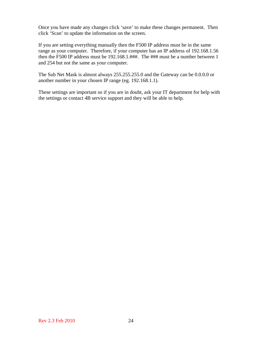Once you have made any changes click 'save' to make these changes permanent. Then click 'Scan' to update the information on the screen.

If you are setting everything manually then the F500 IP address must be in the same range as your computer. Therefore, if your computer has an IP address of 192.168.1.56 then the F500 IP address must be 192.168.1.###. The ### must be a number between 1 and 254 but not the same as your computer.

The Sub Net Mask is almost always 255.255.255.0 and the Gateway can be 0.0.0.0 or another number in your chosen IP range (eg. 192.168.1.1).

These settings are important so if you are in doubt, ask your IT department for help with the settings or contact 4B service support and they will be able to help.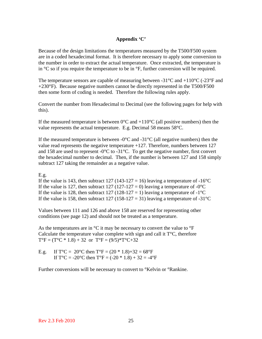## **Appendix 'C'**

Because of the design limitations the temperatures measured by the T500/F500 system are in a coded hexadecimal format. It is therefore necessary to apply some conversion to the number in order to extract the actual temperature. Once extracted, the temperature is in  ${}^{\circ}C$  so if you require the temperature to be in  ${}^{\circ}F$ , further conversion will be required.

The temperature sensors are capable of measuring between -31 $^{\circ}$ C and +110 $^{\circ}$ C (-23 $^{\circ}$ F and +230°F). Because negative numbers cannot be directly represented in the T500/F500 then some form of coding is needed. Therefore the following rules apply.

Convert the number from Hexadecimal to Decimal (see the following pages for help with this).

If the measured temperature is between  $0^{\circ}$ C and  $+110^{\circ}$ C (all positive numbers) then the value represents the actual temperature. E.g. Decimal 58 means 58°C.

If the measured temperature is between  $-0^{\circ}$ C and  $-31^{\circ}$ C (all negative numbers) then the value read represents the negative temperature  $+127$ . Therefore, numbers between 127 and 158 are used to represent  $-0$ °C to  $-31$ °C. To get the negative number, first convert the hexadecimal number to decimal. Then, if the number is between 127 and 158 simply subtract 127 taking the remainder as a negative value.

#### E.g.

If the value is 143, then subtract 127 (143-127 = 16) leaving a temperature of -16<sup>o</sup>C If the value is 127, then subtract 127 (127-127 = 0) leaving a temperature of  $-0^{\circ}$ C If the value is 128, then subtract 127 (128-127 = 1) leaving a temperature of  $-1^{\circ}C$ If the value is 158, then subtract 127 (158-127 = 31) leaving a temperature of -31<sup>o</sup>C

Values between 111 and 126 and above 158 are reserved for representing other conditions (see page 12) and should not be treated as a temperature.

As the temperatures are in  ${}^{\circ}C$  it may be necessary to convert the value to  ${}^{\circ}F$ Calculate the temperature value complete with sign and call it  $T^{\circ}C$ , therefore  $T^{\circ}F = (T^{\circ}C * 1.8) + 32$  or  $T^{\circ}F = (9/5) * T^{\circ}C + 32$ 

E.g. If  $T^{\circ}C = 20^{\circ}C$  then  $T^{\circ}F = (20 * 1.8) + 32 = 68^{\circ}F$ If  $T^{\circ}C = -20^{\circ}C$  then  $T^{\circ}F = (-20 * 1.8) + 32 = -4^{\circ}F$ 

Further conversions will be necessary to convert to °Kelvin or °Rankine.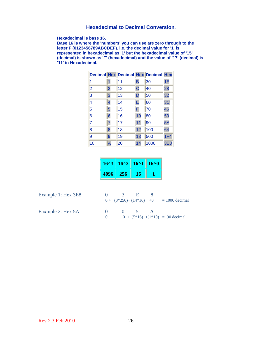## **Hexadecimal to Decimal Conversion.**

**Hexadecimal is base 16.** 

**Base 16 is where the 'numbers' you can use are zero through to the letter F (0123456789ABCDEF). i.e. the decimal value for '1' is represented in hexadecimal as '1' but the hexadecimal value of '15' (decimal) is shown as 'F' (hexadecimal) and the value of '17' (decimal) is '11' in Hexadecimal.**

|                |                | <b>Decimal Hex Decimal Hex Decimal Hex</b> |                |      |     |
|----------------|----------------|--------------------------------------------|----------------|------|-----|
| 1              | 1              | 11                                         | B              | 30   | 1E  |
| $\overline{2}$ | $\overline{c}$ | 12                                         | $\overline{C}$ | 40   | 28  |
| 3              | 3              | 13                                         | D              | 50   | 32  |
| 4              | 4              | 14                                         | E              | 60   | 3C  |
| 5              | 5              | 15                                         | F              | 70   | 46  |
| 6              | 6              | 16                                         | 10             | 80   | 50  |
| $\overline{7}$ | 7              | 17                                         | 11             | 90   | 5A  |
| 8              | 8              | 18                                         | 12             | 100  | 64  |
| 9              | 9              | 19                                         | 13             | 500  | 1F4 |
| 10             | A              | 20                                         | 14             | 1000 | 3E8 |

|      | $16^{2}$   $16^{2}$   $16^{2}$   $16^{2}$ |    |  |
|------|-------------------------------------------|----|--|
| 4096 | - 256                                     | 16 |  |

Example 1: Hex 3E8

| Example 1: Hex 3E8 | $\begin{matrix} 0 & 3 & F \end{matrix}$ |              |  | $0 + (3*256) + (14*16) +8 = 1000$ decimal |
|--------------------|-----------------------------------------|--------------|--|-------------------------------------------|
| Eaxmple 2: Hex 5A  | $\mathbf{a}$                            | $\sqrt{0}$ 5 |  | $0 + 0 + (5*16) + (1*10) = 90$ decimal    |